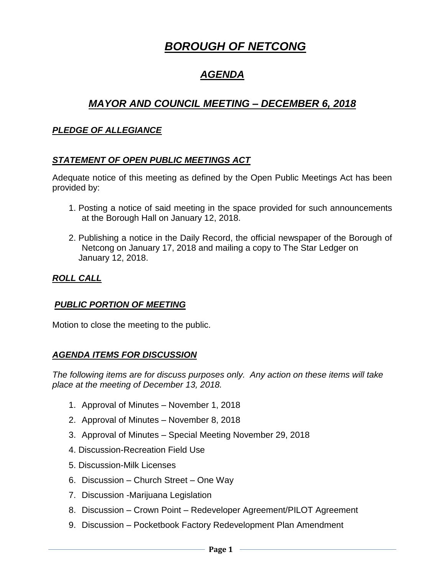# *BOROUGH OF NETCONG*

# *AGENDA*

# *MAYOR AND COUNCIL MEETING – DECEMBER 6, 2018*

#### *PLEDGE OF ALLEGIANCE*

#### *STATEMENT OF OPEN PUBLIC MEETINGS ACT*

Adequate notice of this meeting as defined by the Open Public Meetings Act has been provided by:

- 1. Posting a notice of said meeting in the space provided for such announcements at the Borough Hall on January 12, 2018.
- 2. Publishing a notice in the Daily Record, the official newspaper of the Borough of Netcong on January 17, 2018 and mailing a copy to The Star Ledger on January 12, 2018.

#### *ROLL CALL*

#### *PUBLIC PORTION OF MEETING*

Motion to close the meeting to the public.

#### *AGENDA ITEMS FOR DISCUSSION*

*The following items are for discuss purposes only. Any action on these items will take place at the meeting of December 13, 2018.* 

- 1. Approval of Minutes November 1, 2018
- 2. Approval of Minutes November 8, 2018
- 3. Approval of Minutes Special Meeting November 29, 2018
- 4. Discussion-Recreation Field Use
- 5. Discussion-Milk Licenses
- 6. Discussion Church Street One Way
- 7. Discussion -Marijuana Legislation
- 8. Discussion Crown Point Redeveloper Agreement/PILOT Agreement
- 9. Discussion Pocketbook Factory Redevelopment Plan Amendment